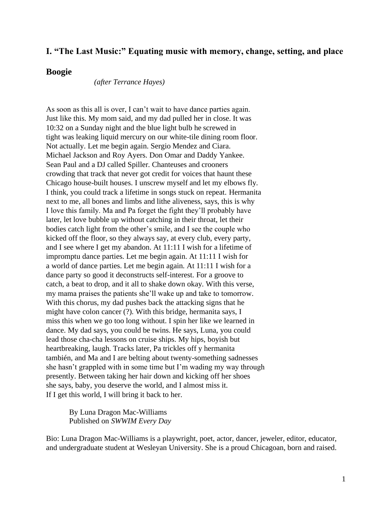## **I. "The Last Music:" Equating music with memory, change, setting, and place**

#### **Boogie**

*(after Terrance Hayes)*

As soon as this all is over, I can't wait to have dance parties again. Just like this. My mom said, and my dad pulled her in close. It was 10:32 on a Sunday night and the blue light bulb he screwed in tight was leaking liquid mercury on our white-tile dining room floor. Not actually. Let me begin again. Sergio Mendez and Ciara. Michael Jackson and Roy Ayers. Don Omar and Daddy Yankee. Sean Paul and a DJ called Spiller. Chanteuses and crooners crowding that track that never got credit for voices that haunt these Chicago house-built houses. I unscrew myself and let my elbows fly. I think, you could track a lifetime in songs stuck on repeat. Hermanita next to me, all bones and limbs and lithe aliveness, says, this is why I love this family. Ma and Pa forget the fight they'll probably have later, let love bubble up without catching in their throat, let their bodies catch light from the other's smile, and I see the couple who kicked off the floor, so they always say, at every club, every party, and I see where I get my abandon. At 11:11 I wish for a lifetime of impromptu dance parties. Let me begin again. At 11:11 I wish for a world of dance parties. Let me begin again. At 11:11 I wish for a dance party so good it deconstructs self-interest. For a groove to catch, a beat to drop, and it all to shake down okay. With this verse, my mama praises the patients she'll wake up and take to tomorrow. With this chorus, my dad pushes back the attacking signs that he might have colon cancer (?). With this bridge, hermanita says, I miss this when we go too long without. I spin her like we learned in dance. My dad says, you could be twins. He says, Luna, you could lead those cha-cha lessons on cruise ships. My hips, boyish but heartbreaking, laugh. Tracks later, Pa trickles off y hermanita también, and Ma and I are belting about twenty-something sadnesses she hasn't grappled with in some time but I'm wading my way through presently. Between taking her hair down and kicking off her shoes she says, baby, you deserve the world, and I almost miss it. If I get this world, I will bring it back to her.

> By Luna Dragon Mac-Williams Published on *SWWIM Every Day*

Bio: Luna Dragon Mac-Williams is a playwright, poet, actor, dancer, jeweler, editor, educator, and undergraduate student at Wesleyan University. She is a proud Chicagoan, born and raised.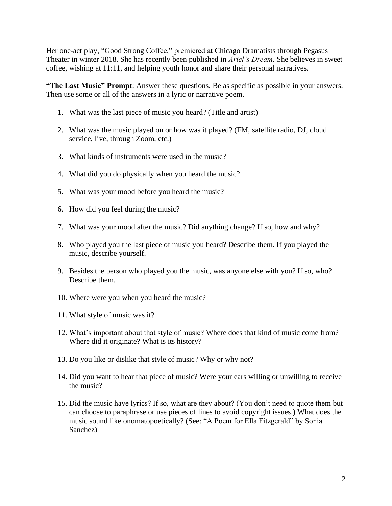Her one-act play, "Good Strong Coffee," premiered at Chicago Dramatists through Pegasus Theater in winter 2018. She has recently been published in *Ariel's Dream*. She believes in sweet coffee, wishing at 11:11, and helping youth honor and share their personal narratives.

**"The Last Music" Prompt**: Answer these questions. Be as specific as possible in your answers. Then use some or all of the answers in a lyric or narrative poem.

- 1. What was the last piece of music you heard? (Title and artist)
- 2. What was the music played on or how was it played? (FM, satellite radio, DJ, cloud service, live, through Zoom, etc.)
- 3. What kinds of instruments were used in the music?
- 4. What did you do physically when you heard the music?
- 5. What was your mood before you heard the music?
- 6. How did you feel during the music?
- 7. What was your mood after the music? Did anything change? If so, how and why?
- 8. Who played you the last piece of music you heard? Describe them. If you played the music, describe yourself.
- 9. Besides the person who played you the music, was anyone else with you? If so, who? Describe them.
- 10. Where were you when you heard the music?
- 11. What style of music was it?
- 12. What's important about that style of music? Where does that kind of music come from? Where did it originate? What is its history?
- 13. Do you like or dislike that style of music? Why or why not?
- 14. Did you want to hear that piece of music? Were your ears willing or unwilling to receive the music?
- 15. Did the music have lyrics? If so, what are they about? (You don't need to quote them but can choose to paraphrase or use pieces of lines to avoid copyright issues.) What does the music sound like onomatopoetically? (See: "A Poem for Ella Fitzgerald" by Sonia Sanchez)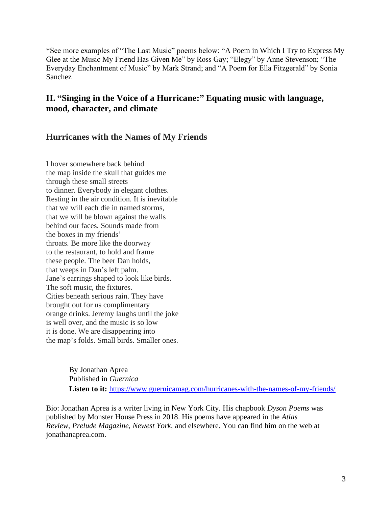\*See more examples of "The Last Music" poems below: "A Poem in Which I Try to Express My Glee at the Music My Friend Has Given Me" by Ross Gay; "Elegy" by Anne Stevenson; "The Everyday Enchantment of Music" by Mark Strand; and "A Poem for Ella Fitzgerald" by Sonia Sanchez

# **II. "Singing in the Voice of a Hurricane:" Equating music with language, mood, character, and climate**

# **Hurricanes with the Names of My Friends**

I hover somewhere back behind the map inside the skull that guides me through these small streets to dinner. Everybody in elegant clothes. Resting in the air condition. It is inevitable that we will each die in named storms, that we will be blown against the walls behind our faces. Sounds made from the boxes in my friends' throats. Be more like the doorway to the restaurant, to hold and frame these people. The beer Dan holds, that weeps in Dan's left palm. Jane's earrings shaped to look like birds. The soft music, the fixtures. Cities beneath serious rain. They have brought out for us complimentary orange drinks. Jeremy laughs until the joke is well over, and the music is so low it is done. We are disappearing into the map's folds. Small birds. Smaller ones.

> By Jonathan Aprea Published in *Guernica* **Listen to it:** <https://www.guernicamag.com/hurricanes-with-the-names-of-my-friends/>

Bio: Jonathan Aprea is a writer living in New York City. His chapbook *Dyson Poems* was published by Monster House Press in 2018. His poems have appeared in the *Atlas Review, Prelude Magazine, Newest York,* and elsewhere. You can find him on the web at jonathanaprea.com.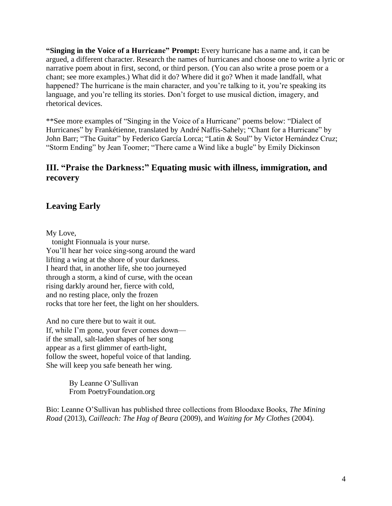**"Singing in the Voice of a Hurricane" Prompt:** Every hurricane has a name and, it can be argued, a different character. Research the names of hurricanes and choose one to write a lyric or narrative poem about in first, second, or third person. (You can also write a prose poem or a chant; see more examples.) What did it do? Where did it go? When it made landfall, what happened? The hurricane is the main character, and you're talking to it, you're speaking its language, and you're telling its stories. Don't forget to use musical diction, imagery, and rhetorical devices.

\*\*See more examples of "Singing in the Voice of a Hurricane" poems below: "Dialect of Hurricanes" by Frankétienne, translated by André Naffis-Sahely; "Chant for a Hurricane" by John Barr; "The Guitar" by Federico García Lorca; "Latin & Soul" by Victor Hernández Cruz; "Storm Ending" by Jean Toomer; "There came a Wind like a bugle" by Emily Dickinson

# **III. "Praise the Darkness:" Equating music with illness, immigration, and recovery**

# **Leaving Early**

My Love,

tonight Fionnuala is your nurse. You'll hear her voice sing-song around the ward lifting a wing at the shore of your darkness. I heard that, in another life, she too journeyed through a storm, a kind of curse, with the ocean rising darkly around her, fierce with cold, and no resting place, only the frozen rocks that tore her feet, the light on her shoulders.

And no cure there but to wait it out. If, while I'm gone, your fever comes down if the small, salt-laden shapes of her song appear as a first glimmer of earth-light, follow the sweet, hopeful voice of that landing. She will keep you safe beneath her wing.

> By Leanne O'Sullivan From PoetryFoundation.org

Bio: Leanne O'Sullivan has published three collections from Bloodaxe Books, *The Mining Road* (2013), *Cailleach: The Hag of Beara* (2009), and *Waiting for My Clothes* (2004).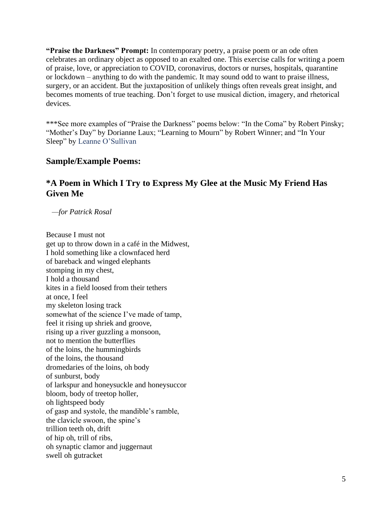**"Praise the Darkness" Prompt:** In contemporary poetry, a praise poem or an ode often celebrates an ordinary object as opposed to an exalted one. This exercise calls for writing a poem of praise, love, or appreciation to COVID, coronavirus, doctors or nurses, hospitals, quarantine or lockdown – anything to do with the pandemic. It may sound odd to want to praise illness, surgery, or an accident. But the juxtaposition of unlikely things often reveals great insight, and becomes moments of true teaching. Don't forget to use musical diction, imagery, and rhetorical devices.

\*\*\*See more examples of "Praise the Darkness" poems below: "In the Coma" by Robert Pinsky; "Mother's Day" by Dorianne Laux; "Learning to Mourn" by Robert Winner; and "In Your Sleep" by Leanne O'Sullivan

# **Sample/Example Poems:**

# **\*A Poem in Which I Try to Express My Glee at the Music My Friend Has Given Me**

 *—for Patrick Rosal*

Because I must not get up to throw down in a café in the Midwest, I hold something like a clownfaced herd of bareback and winged elephants stomping in my chest, I hold a thousand kites in a field loosed from their tethers at once, I feel my skeleton losing track somewhat of the science I've made of tamp, feel it rising up shriek and groove, rising up a river guzzling a monsoon, not to mention the butterflies of the loins, the hummingbirds of the loins, the thousand dromedaries of the loins, oh body of sunburst, body of larkspur and honeysuckle and honeysuccor bloom, body of treetop holler, oh lightspeed body of gasp and systole, the mandible's ramble, the clavicle swoon, the spine's trillion teeth oh, drift of hip oh, trill of ribs, oh synaptic clamor and juggernaut swell oh gutracket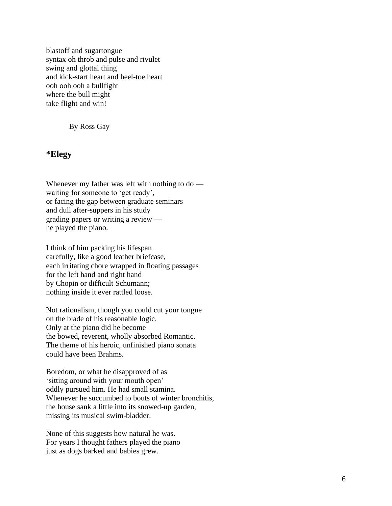blastoff and sugartongue syntax oh throb and pulse and rivulet swing and glottal thing and kick -start heart and heel -toe heart ooh ooh ooh a bullfight where the bull might take flight and win!

By Ross Gay

#### **\*Elegy**

Whenever my father was left with nothing to do waiting for someone to 'get ready', or facing the gap between graduate seminars and dull after -suppers in his study grading papers or writing a review he played the piano.

I think of him packing his lifespan carefully, like a good leather briefcase, each irritating chore wrapped in floating passages for the left hand and right hand by Chopin or difficult Schumann; nothing inside it ever rattled loose.

Not rationalism, though you could cut your tongue on the blade of his reasonable logic. Only at the piano did he become the bowed, reverent, wholly absorbed Romantic. The theme of his heroic, unfinished piano sonat a could have been Brahms.

Boredom, or what he disapproved of as 'sitting around with your mouth open' oddly pursued him. He had small stamina. Whenever he succumbed to bouts of winter bronchitis, the house sank a little into its snowed -up garden, missing its musical swim -bladder.

None of this suggests how natural he was. For years I thought fathers played the piano just as dogs barked and babies grew.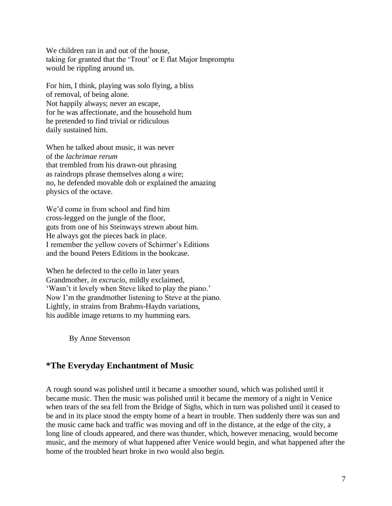We children ran in and out of the house, taking for granted that the 'Trout' or E flat Major Impromptu would be rippling around us.

For him, I think, playing was solo flying, a bliss of removal, of being alone. Not happily always; never an escape, for he was affectionate, and the household hum he pretended to find trivial or ridiculous daily sustained him.

When he talked about music, it was never of the *lachrimae rerum* that trembled from his drawn-out phrasing as raindrops phrase themselves along a wire; no, he defended movable doh or explained the amazing physics of the octave.

We'd come in from school and find him cross-legged on the jungle of the floor, guts from one of his Steinways strewn about him. He always got the pieces back in place. I remember the yellow covers of Schirmer's Editions and the bound Peters Editions in the bookcase.

When he defected to the cello in later years Grandmother, *in excrucio*, mildly exclaimed, 'Wasn't it lovely when Steve liked to play the piano.' Now I'm the grandmother listening to Steve at the piano. Lightly, in strains from Brahms-Haydn variations, his audible image returns to my humming ears.

By Anne Stevenson

## **\*The Everyday Enchantment of Music**

A rough sound was polished until it became a smoother sound, which was polished until it became music. Then the music was polished until it became the memory of a night in Venice when tears of the sea fell from the Bridge of Sighs, which in turn was polished until it ceased to be and in its place stood the empty home of a heart in trouble. Then suddenly there was sun and the music came back and traffic was moving and off in the distance, at the edge of the city, a long line of clouds appeared, and there was thunder, which, however menacing, would become music, and the memory of what happened after Venice would begin, and what happened after the home of the troubled heart broke in two would also begin.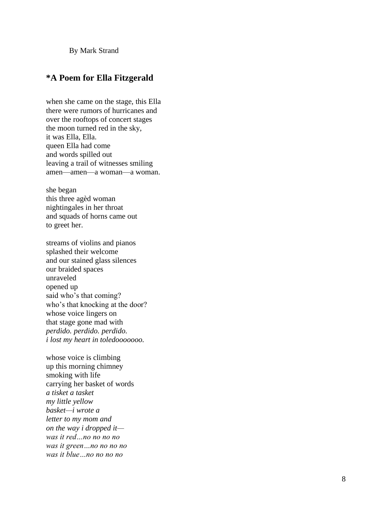By Mark Strand

# **\*A Poem for Ella Fitzgerald**

when she came on the stage, this Ella there were rumors of hurricanes and over the rooftops of concert stages the moon turned red in the sky, it was Ella, Ella. queen Ella had come and words spilled out leaving a trail of witnesses smiling amen —amen —a woman —a woman.

she began this three agèd woman nightingales in her throat and squads of horns came out to greet her .

streams of violins and pianos splashed their welcome and our stained glass silences our braided spaces unraveled opened up said who's that coming? who's that knocking at the door? whose voice lingers on that stage gone mad with *perdido. perdido. perdido. i lost my heart in toledooooooo.*

whose voice is climbing up this morning chimney smoking with life carrying her basket of words *a tisket a tasket my little yellow basket—i wrote a letter to my mom and on the way i dropped it was it red…no no no no was it green…no no no no was it blue…no no no no*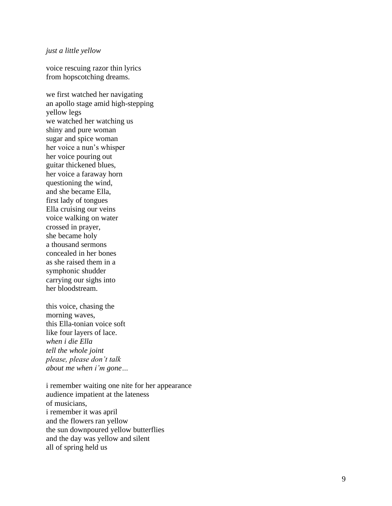#### *just a little yellow*

voice rescuing razor thin lyrics from hopscotching dreams.

we first watched her navigating an apollo stage amid high -stepping yellow legs we watched her watching us shiny and pure woman sugar and spice woman her voice a nun's whisper her voice pouring out guitar thickened blues, her voice a faraway horn questioning the wind, and she became Ella, first lady of tongues Ella cruising our veins voice walking on water crossed in prayer, she became holy a thousand sermons concealed in her bones as she raised them in a symphonic shudder carrying our sighs into her bloodstream .

this voice, chasing the morning waves, this Ella -tonian voice soft like four layers of lace. *when i die Ella tell the whole joint please, please don't talk about me when i'm gone …*

i remember waiting one nite for her appearance audience impatient at the lateness of musicians, i remember it was april and the flowers ran yellow the sun downpoured yellow butterflies and the day was yellow and silent all of spring held us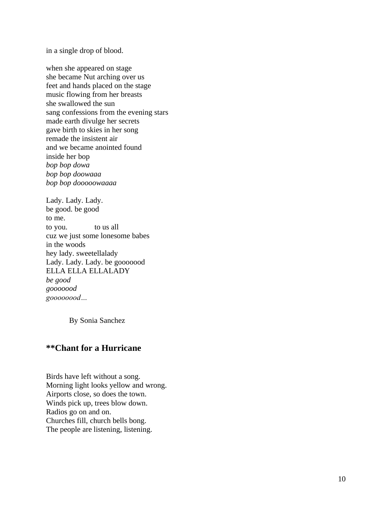in a single drop of blood .

when she appeared on stage she became Nut arching over us feet and hands placed on the stage music flowing from her breasts she swallowed the sun sang confessions from the evening stars made earth divulge her secrets gave birth to skies in her song remade the insistent air and we became anointed found inside her bop *bop bop dowa bop bop doowaaa bop bop dooooowaaaa*

Lady. Lady. Lady. be good. be good to me. to you. to us all cuz we just some lonesome babes in the woods hey lady. sweetellalady Lady. Lady. Lady. be gooooood ELLA ELLA ELLALADY *be good gooooood goooooood…*

By Sonia Sanchez

#### **\*\*Chant for a Hurricane**

Birds have left without a song. Morning light looks yellow and wrong. Airports close, so does the town. Winds pick up, trees blow down. Radios go on and on. Churches fill, church bells bong. The people are listening, listening.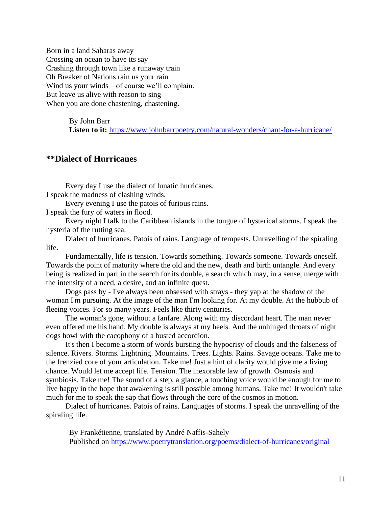Born in a land Saharas away Crossing an ocean to have its say Crashing through town like a runaway train Oh Breaker of Nations rain us your rain Wind us your winds—of course we'll complain. But leave us alive with reason to sing When you are done chastening, chastening.

> By John Barr Listen to it: <https://www.johnbarrpoetry.com/natural-wonders/chant-for-a-hurricane/>

## **\*\*Dialect of Hurricanes**

 Every day I use the dialect of lunatic hurricanes. I speak the madness of clashing winds.

 Every evening I use the patois of furious rains. I speak the fury of waters in flood.

 Every night I talk to the Caribbean islands in the tongue of hysterical storms. I speak the hysteria of the rutting sea.

 Dialect of hurricanes. Patois of rains. Language of tempests. Unravelling of the spiraling life.

 Fundamentally, life is tension. Towards something. Towards someone. Towards oneself. Towards the point of maturity where the old and the new, death and birth untangle. And every being is realized in part in the search for its double, a search which may, in a sense, merge with the intensity of a need, a desire, and an infinite quest.

 Dogs pass by - I've always been obsessed with strays - they yap at the shadow of the woman I'm pursuing. At the image of the man I'm looking for. At my double. At the hubbub of fleeing voices. For so many years. Feels like thirty centuries.

 The woman's gone, without a fanfare. Along with my discordant heart. The man never even offered me his hand. My double is always at my heels. And the unhinged throats of night dogs howl with the cacophony of a busted accordion.

 It's then I become a storm of words bursting the hypocrisy of clouds and the falseness of silence. Rivers. Storms. Lightning. Mountains. Trees. Lights. Rains. Savage oceans. Take me to the frenzied core of your articulation. Take me! Just a hint of clarity would give me a living chance. Would let me accept life. Tension. The inexorable law of growth. Osmosis and symbiosis. Take me! The sound of a step, a glance, a touching voice would be enough for me to live happy in the hope that awakening is still possible among humans. Take me! It wouldn't take much for me to speak the sap that flows through the core of the cosmos in motion.

 Dialect of hurricanes. Patois of rains. Languages of storms. I speak the unravelling of the spiraling life.

By Frankétienne, translated by André Naffis-Sahely Published on<https://www.poetrytranslation.org/poems/dialect-of-hurricanes/original>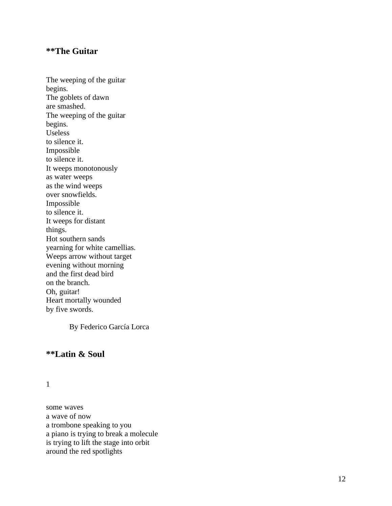#### **\*\*The Guitar**

The weeping of the guitar begins. The goblets of dawn are smashed. The weeping of the guitar begins. Useless to silence it. Impossible to silence it. It weeps monotonously as water weeps as the wind weep s over snowfields. Impossible to silence it. It weeps for distant things. Hot southern sands yearning for white camellias. Weeps arrow without target evening without morning and the first dead bird on the branch. Oh, guitar! Heart mortally wounded by five swords.

By Federico Garc ía Lorca

## **\*\*Latin & Soul**

#### 1

some waves a wave of now a trombone speaking to you a piano is trying to break a molecule is trying to lift the stage into orbit around the red spotlights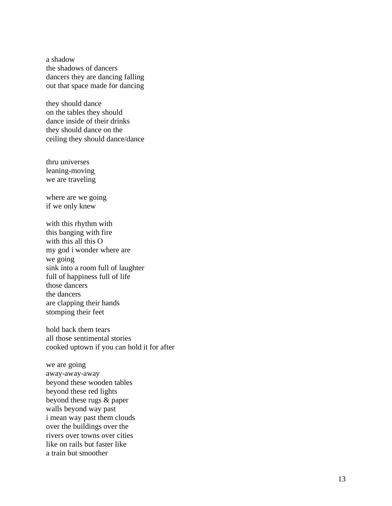a shadow the shadows of dancers dancers they are dancing falling out that space made for dancing

they should dance on the tables they should dance inside of their drinks they should dance on the ceiling they should dance/dance

thru universes leaning -moving we are traveling

where are we going if we only knew

with this rhythm with this banging with fire with this all this O my god i wonder where are we going sink into a room full of laughter full of happiness full of life those dancers the dancers are clapping their hands stomping their feet

hold back them tears all those sentimental stories cooked uptown if you can hold it for after

we are going away -away -away beyond these wooden tables beyond these red lights beyond these rugs & paper walls beyond way past i mean way past them clouds over the buildings over the rivers over towns over cities like on rails but faster like a train but smoother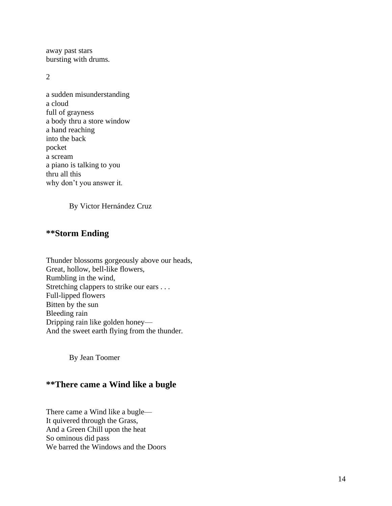away past stars bursting with drums.

2

a sudden misunderstanding a cloud full of grayness a body thru a store window a hand reaching into the back pocket a scream a piano is talking to you thru all this why don't you answer it.

By Victor Hernández Cruz

## **\*\*Storm Ending**

Thunder blossoms gorgeously above our heads, Great, hollow, bell-like flowers, Rumbling in the wind, Stretching clappers to strike our ears . . . Full-lipped flowers Bitten by the sun Bleeding rain Dripping rain like golden honey— And the sweet earth flying from the thunder.

By Jean Toomer

# **\*\*There came a Wind like a bugle**

There came a Wind like a bugle— It quivered through the Grass, And a Green Chill upon the heat So ominous did pass We barred the Windows and the Doors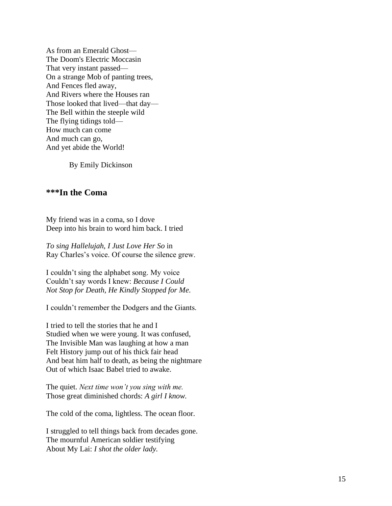As from an Emerald Ghost— The Doom's Electric Moccasin That very instant passed— On a strange Mob of panting trees, And Fences fled away, And Rivers where the Houses ran Those looked that lived—that day— The Bell within the steeple wild The flying tidings told— How much can come And much can go, And yet abide the World!

By Emily Dickinson

#### **\*\*\*In the Coma**

My friend was in a coma, so I dove Deep into his brain to word him back. I tried

*To sing Hallelujah, I Just Love Her So* in Ray Charles's voice. Of course the silence grew.

I couldn't sing the alphabet song. My voice Couldn't say words I knew: *Because I Could Not Stop for Death, He Kindly Stopped for Me*.

I couldn't remember the Dodgers and the Giants.

I tried to tell the stories that he and I Studied when we were young. It was confused, The Invisible Man was laughing at how a man Felt History jump out of his thick fair head And beat him half to death, as being the nightmare Out of which Isaac Babel tried to awake.

The quiet. *Next time won't you sing with me.* Those great diminished chords: *A girl I know.*

The cold of the coma, lightless. The ocean floor.

I struggled to tell things back from decades gone. The mournful American soldier testifying About My Lai: *I shot the older lady.*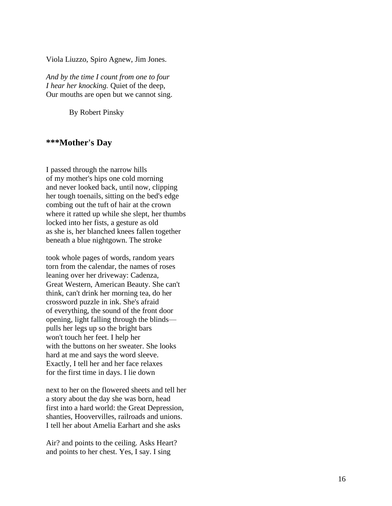Viola Liuzzo, Spiro Agnew, Jim Jones.

*And by the time I count from one to four I hear her knocking.* Quiet of the deep, Our mouths are open but we cannot sing.

By Robert Pinsky

#### **\*\*\*Mother's Day**

I passed through the narrow hills of my mother's hips one cold morning and never looked back, until now, clipping her tough toenails, sitting on the bed's edge combing out the tuft of hair at the crown where it ratted up while she slept, her thumbs locked into her fists, a gesture as old as she is, her blanched knees fallen together beneath a blue nightgown. The stroke

took whole pages of words, random years torn from the calendar, the names of rose s leaning over her driveway: Cadenza, Great Western, American Beauty. She can't think, can't drink her morning tea, do her crossword puzzle in ink. She's afraid of everything, the sound of the front door opening, light falling through the blinds pulls her legs up so the bright bars won't touch her feet. I help her with the buttons on her sweater. She looks hard at me and says the word sleeve. Exactly, I tell her and her face relaxes for the first time in days. I lie down

next to her on the flowered sheets and tell her a story about the day she was born, head first into a hard world: the Great Depression, shanties, Hoovervilles, railroads and unions. I tell her about Amelia Earhart and she asks

Air? and points to the ceiling. Asks Heart? and points to her chest. Yes, I say. I sing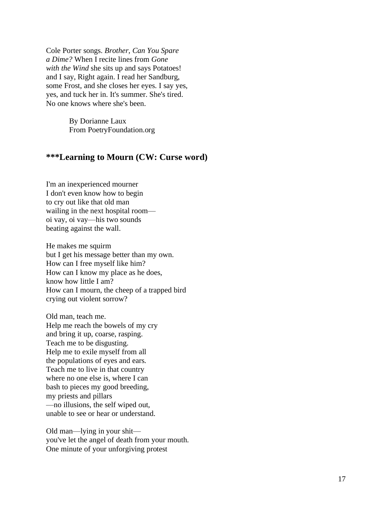Cole Porter songs. *Brother, Can You Spare a Dime?* When I recite lines from *Gone with the Wind* she sits up and says Potatoes! and I say, Right again. I read her Sandburg, some Frost, and she closes her eyes. I say yes, yes, and tuck her in. It's summer. She's tired. No one knows where she's been.

> By Dorianne Laux From PoetryFoundation.org

# **\*\*\*Learning to Mourn (CW: Curse word)**

I'm an inexperienced mourner I don't even know how to begin to cry out like that old man wailing in the next hospital room oi vay, oi vay —his two sounds beating against the wall.

He makes me squirm but I get his message better than my own. How can I free myself like him? How can I know my place as he does, know how little I am? How can I mourn, the cheep of a trapped bird crying out violent sorrow?

Old man, teach me. Help me reach the bowels of my cry and bring it up, coarse, rasping. Teach me to be disgusting. Help me to exile myself from all the populations of eyes and ears. Teach me to live in that country where no one else is, where I can bash to pieces my good breeding, my priests and pillars —no illusions, the self wiped out, unable to see or hear or understand.

Old man —lying in your shit you've let the angel of death from your mouth. One minute of your unforgiving protest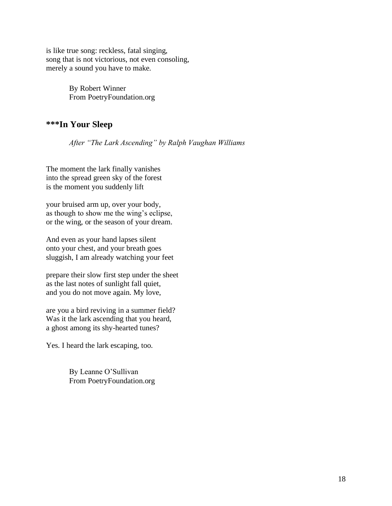is like true song: reckless, fatal singing, song that is not victorious, not even consoling, merely a sound you have to make.

> By Robert Winner From PoetryFoundation.org

# **\*\*\*In Your Sleep**

*After "The Lark Ascending" by Ralph Vaughan Williams*

The moment the lark finally vanishes into the spread green sky of the forest is the moment you suddenly lift

your bruised arm up, over your body, as though to show me the wing's eclipse, or the wing, or the season of your dream.

And even as your hand lapses silent onto your chest, and your breath goes sluggish, I am already watching your feet

prepare their slow first step under the sheet as the last notes of sunlight fall quiet, and you do not move again. My love,

are you a bird reviving in a summer field? Was it the lark ascending that you heard, a ghost among its shy-hearted tunes?

Yes. I heard the lark escaping, too.

By Leanne O'Sullivan From PoetryFoundation.org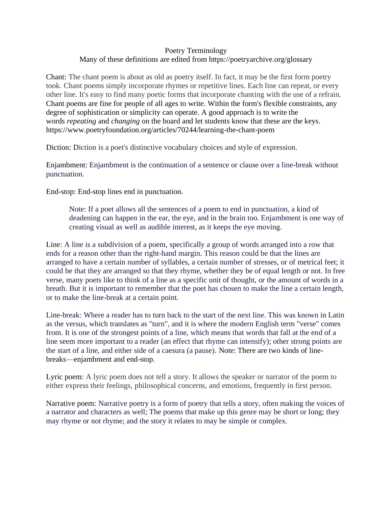#### Poetry Terminology Many of these definitions are edited from https://poetryarchive.org/glossary

Chant: The chant poem is about as old as poetry itself. In fact, it may be the first form poetry took. Chant poems simply incorporate rhymes or repetitive lines. Each line can repeat, or every other line. It's easy to find many poetic forms that incorporate chanting with the use of a refrain. Chant poems are fine for people of all ages to write. Within the form's flexible constraints, any degree of sophistication or simplicity can operate. A good approach is to write the words *repeating* and *changing* on the board and let students know that these are the keys. https://www.poetryfoundation.org/articles/70244/learning-the-chant-poem

Diction: Diction is a poet's distinctive vocabulary choices and style of expression.

Enjambment: Enjambment is the continuation of a sentence or clause over a line-break without punctuation.

End-stop: End-stop lines end in punctuation.

Note: If a poet allows all the sentences of a poem to end in punctuation, a kind of deadening can happen in the ear, the eye, and in the brain too. Enjambment is one way of creating visual as well as audible interest, as it keeps the eye moving.

Line: A line is a subdivision of a poem, specifically a group of words arranged into a row that ends for a reason other than the right-hand margin. This reason could be that the lines are arranged to have a certain number of syllables, a certain number of stresses, or of metrical feet; it could be that they are arranged so that they rhyme, whether they be of equal length or not. In free verse, many poets like to think of a line as a specific unit of thought, or the amount of words in a breath. But it is important to remember that the poet has chosen to make the line a certain length, or to make the line-break at a certain point.

Line-break: Where a reader has to turn back to the start of the next line. This was known in Latin as the versus, which translates as "turn", and it is where the modern English term "verse" comes from. It is one of the strongest points of a line, which means that words that fall at the end of a line seem more important to a reader (an effect that rhyme can intensify); other strong points are the start of a line, and either side of a caesura (a pause). Note: There are two kinds of linebreaks—enjambment and end-stop.

Lyric poem: A lyric poem does not tell a story. It allows the speaker or narrator of the poem to either express their feelings, philosophical concerns, and emotions, frequently in first person.

Narrative poem: Narrative poetry is a form of poetry that tells a story, often making the voices of a narrator and characters as well; The poems that make up this genre may be short or long; they may rhyme or not rhyme; and the story it relates to may be simple or complex.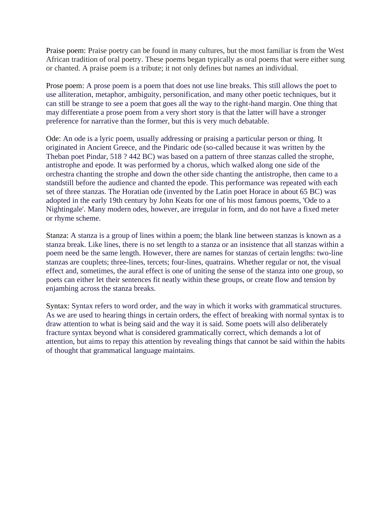Praise poem: Praise poetry can be found in many cultures, but the most familiar is from the West African tradition of oral poetry. These poems began typically as oral poems that were either sung or chanted. A praise poem is a tribute; it not only defines but names an individual.

Prose poem: A prose poem is a poem that does not use line breaks. This still allows the poet to use alliteration, metaphor, ambiguity, personification, and many other poetic techniques, but it can still be strange to see a poem that goes all the way to the right-hand margin. One thing that may differentiate a prose poem from a very short story is that the latter will have a stronger preference for narrative than the former, but this is very much debatable.

Ode: An ode is a lyric poem, usually addressing or praising a particular person or thing. It originated in Ancient Greece, and the Pindaric ode (so-called because it was written by the Theban poet Pindar, 518 ? 442 BC) was based on a pattern of three stanzas called the strophe, antistrophe and epode. It was performed by a chorus, which walked along one side of the orchestra chanting the strophe and down the other side chanting the antistrophe, then came to a standstill before the audience and chanted the epode. This performance was repeated with each set of three stanzas. The Horatian ode (invented by the Latin poet Horace in about 65 BC) was adopted in the early 19th century by John Keats for one of his most famous poems, 'Ode to a Nightingale'. Many modern odes, however, are irregular in form, and do not have a fixed meter or rhyme scheme.

Stanza: A stanza is a group of lines within a poem; the blank line between stanzas is known as a stanza break. Like lines, there is no set length to a stanza or an insistence that all stanzas within a poem need be the same length. However, there are names for stanzas of certain lengths: two-line stanzas are couplets; three-lines, tercets; four-lines, quatrains. Whether regular or not, the visual effect and, sometimes, the aural effect is one of uniting the sense of the stanza into one group, so poets can either let their sentences fit neatly within these groups, or create flow and tension by enjambing across the stanza breaks.

Syntax: Syntax refers to word order, and the way in which it works with grammatical structures. As we are used to hearing things in certain orders, the effect of breaking with normal syntax is to draw attention to what is being said and the way it is said. Some poets will also deliberately fracture syntax beyond what is considered grammatically correct, which demands a lot of attention, but aims to repay this attention by revealing things that cannot be said within the habits of thought that grammatical language maintains.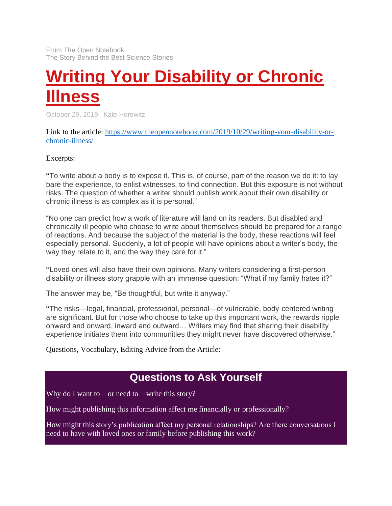# **[Writing Your Disability or Chronic](https://www.theopennotebook.com/2019/10/29/writing-your-disability-or-chronic-illness/)  [Illness](https://www.theopennotebook.com/2019/10/29/writing-your-disability-or-chronic-illness/)**

October 29, 2019 Kate Horowitz

Link to the article: [https://www.theopennotebook.com/2019/10/29/writing-your-disability-or](https://www.theopennotebook.com/2019/10/29/writing-your-disability-or-chronic-illness/)[chronic-illness/](https://www.theopennotebook.com/2019/10/29/writing-your-disability-or-chronic-illness/)

Excerpts:

"To write about a body is to expose it. This is, of course, part of the reason we do it: to lay bare the experience, to enlist witnesses, to find connection. But this exposure is not without risks. The question of whether a writer should publish work about their own disability or chronic illness is as complex as it is personal."

"No one can predict how a work of literature will land on its readers. But disabled and chronically ill people who choose to write about themselves should be prepared for a range of reactions. And because the subject of the material is the body, these reactions will feel especially personal. Suddenly, a lot of people will have opinions about a writer's body, the way they relate to it, and the way they care for it."

"Loved ones will also have their own opinions. Many writers considering a first-person disability or illness story grapple with an immense question: "What if my family hates it?"

The answer may be, "Be thoughtful, but write it anyway."

"The risks—legal, financial, professional, personal—of vulnerable, body-centered writing are significant. But for those who choose to take up this important work, the rewards ripple onward and onward, inward and outward… Writers may find that sharing their disability experience initiates them into communities they might never have discovered otherwise."

Questions, Vocabulary, Editing Advice from the Article:

# **Questions to Ask Yourself**

Why do I want to—or need to—write this story?

How might publishing this information affect me financially or professionally?

How might this story's publication affect my personal relationships? Are there conversations I need to have with loved ones or family before publishing this work?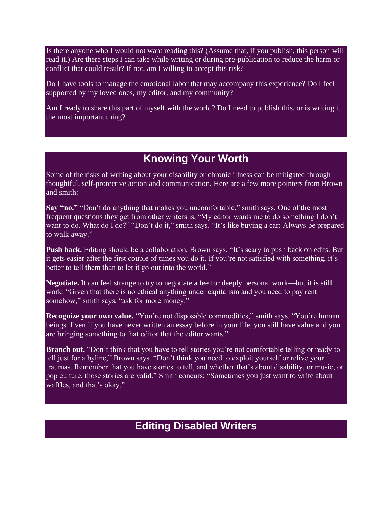Is there anyone who I would not want reading this? (Assume that, if you publish, this person will read it.) Are there steps I can take while writing or during pre-publication to reduce the harm or conflict that could result? If not, am I willing to accept this risk?

Do I have tools to manage the emotional labor that may accompany this experience? Do I feel supported by my loved ones, my editor, and my community?

Am I ready to share this part of myself with the world? Do I need to publish this, or is writing it the most important thing?

# **Knowing Your Worth**

Some of the risks of writing about your disability or chronic illness can be mitigated through thoughtful, self-protective action and communication. Here are a few more pointers from Brown and smith:

**Say "no."** "Don't do anything that makes you uncomfortable," smith says. One of the most frequent questions they get from other writers is, "My editor wants me to do something I don't want to do. What do I do?" "Don't do it," smith says. "It's like buying a car: Always be prepared to walk away."

**Push back.** Editing should be a collaboration, Brown says. "It's scary to push back on edits. But it gets easier after the first couple of times you do it. If you're not satisfied with something, it's better to tell them than to let it go out into the world."

**Negotiate.** It can feel strange to try to negotiate a fee for deeply personal work—but it is still work. "Given that there is no ethical anything under capitalism and you need to pay rent somehow," smith says, "ask for more money."

**Recognize your own value.** "You're not disposable commodities," smith says. "You're human beings. Even if you have never written an essay before in your life, you still have value and you are bringing something to that editor that the editor wants."

**Branch out.** "Don't think that you have to tell stories you're not comfortable telling or ready to tell just for a byline," Brown says. "Don't think you need to exploit yourself or relive your traumas. Remember that you have stories to tell, and whether that's about disability, or music, or pop culture, those stories are valid." Smith concurs: "Sometimes you just want to write about waffles, and that's okay."

# **Editing Disabled Writers**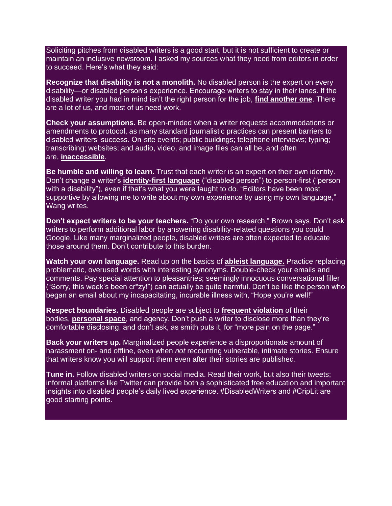Soliciting pitches from disabled writers is a good start, but it is not sufficient to create or maintain an inclusive newsroom. I asked my sources what they need from editors in order to succeed. Here's what they said:

**Recognize that disability is not a monolith.** No disabled person is the expert on every disability—or disabled person's experience. Encourage writers to stay in their lanes. If the disabled writer you had in mind isn't the right person for the job, **[find another one](https://disabledwriters.com/)**. There are a lot of us, and most of us need work.

**Check your assumptions.** Be open-minded when a writer requests accommodations or amendments to protocol, as many standard journalistic practices can present barriers to disabled writers' success. On-site events; public buildings; telephone interviews; typing; transcribing; websites; and audio, video, and image files can all be, and often are, **[inaccessible](https://www.theopennotebook.com/2018/10/09/writing-when-on-the-autism-spectrum/)**.

**Be humble and willing to learn.** Trust that each writer is an expert on their own identity. Don't change a writer's **[identity-first language](https://thebodyisnotanapology.com/magazine/i-am-disabled-on-identity-first-versus-people-first-language/)** ("disabled person") to person-first ("person with a disability"), even if that's what you were taught to do. "Editors have been most supportive by allowing me to write about my own experience by using my own language," Wang writes.

**Don't expect writers to be your teachers.** "Do your own research," Brown says. Don't ask writers to perform additional labor by answering disability-related questions you could Google. Like many marginalized people, disabled writers are often expected to educate those around them. Don't contribute to this burden.

**Watch your own language.** Read up on the basics of **[ableist language.](https://www.autistichoya.com/p/ableist-words-and-terms-to-avoid.html)** Practice replacing problematic, overused words with interesting synonyms. Double-check your emails and comments. Pay special attention to pleasantries; seemingly innocuous conversational filler ("Sorry, this week's been cr\*zy!") can actually be quite harmful. Don't be like the person who began an email about my incapacitating, incurable illness with, "Hope you're well!"

**Respect boundaries.** Disabled people are subject to **[frequent violation](https://www.who.int/disabilities/violence/en/)** of their bodies, **[personal space](https://www.independent.co.uk/voices/metoo-disability-women-groped-touched-consent-abuse-a9079016.html)**, and agency. Don't push a writer to disclose more than they're comfortable disclosing, and don't ask, as smith puts it, for "more pain on the page."

**Back your writers up.** Marginalized people experience a disproportionate amount of harassment on- and offline, even when *not* recounting vulnerable, intimate stories. Ensure that writers know you will support them even after their stories are published.

**Tune in.** Follow disabled writers on social media. Read their work, but also their tweets; informal platforms like Twitter can provide both a sophisticated free education and important insights into disabled people's daily lived experience. #DisabledWriters and #CripLit are good starting points.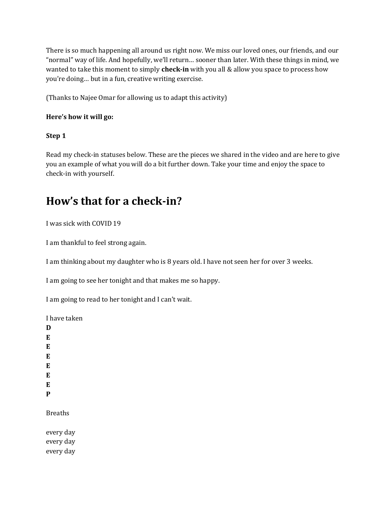There is so much happening all around us right now. We miss our loved ones, our friends, and our "normal" way of life. And hopefully, we'll return… sooner than later. With these things in mind, we wanted to take this moment to simply **check-in** with you all & allow you space to process how you're doing… but in a fun, creative writing exercise.

(Thanks to Najee Omar for allowing us to adapt this activity)

#### **Here's how it will go:**

#### **Step 1**

Read my check-in statuses below. These are the pieces we shared in the video and are here to give you an example of what you will do a bit further down. Take your time and enjoy the space to check-in with yourself.

# **How's that for a check-in?**

I was sick with COVID 19

I am thankful to feel strong again.

I am thinking about my daughter who is 8 years old. I have not seen her for over 3 weeks.

I am going to see her tonight and that makes me so happy.

I am going to read to her tonight and I can't wait.

I have taken

**D E E E E E E P**

Breaths

every day every day every day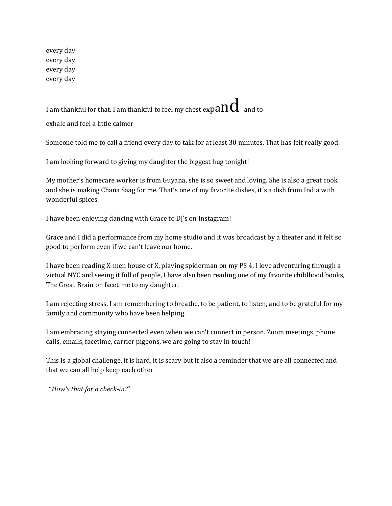every day every day every day every day

I am thankful for that. I am thankful to feel my chest  $\exp a n d \;$  and to exhale and feel a little calmer

Someone told me to call a friend every day to talk for at least 30 minutes. That has felt really good.

I am looking forward to giving my daughter the biggest hug tonight!

My mother's homecare worker is from Guyana, she is so sweet and loving. She is also a great cook and she is making Chana Saag for me. That's one of my favorite dishes, it's a dish from India with wonderful spices.

I have been enjoying dancing with Grace to DJ's on Instagram!

Grace and I did a performance from my home studio and it was broadcast by a theater and it felt so good to perform even if we can't leave our home.

I have been reading X-men house of X, playing spiderman on my PS 4, I love adventuring through a virtual NYC and seeing it full of people, I have also been reading one of my favorite childhood books, The Great Brain on facetime to my daughter.

I am rejecting stress, I am remembering to breathe, to be patient, to listen, and to be grateful for my family and community who have been helping.

I am embracing staying connected even when we can't connect in person. Zoom meetings, phone calls, emails, facetime, carrier pigeons, we are going to stay in touch!

This is a global challenge, it is hard, it is scary but it also a reminder that we are all connected and that we can all help keep each other

"*How's that for a check-in?*"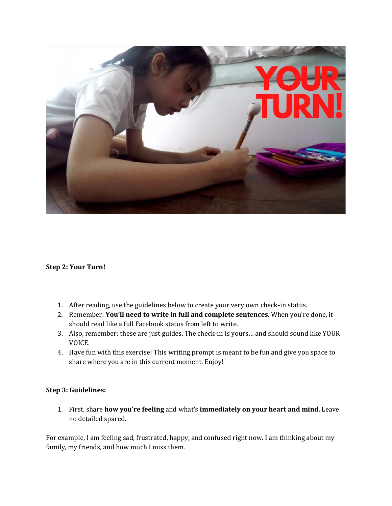

#### **Step 2: Your Turn!**

- 1. After reading, use the guidelines below to create your very own check-in status.
- 2. Remember: **You'll need to write in full and complete sentences**. When you're done, it should read like a full Facebook status from left to write.
- 3. Also, remember: these are just guides. The check-in is yours… and should sound like YOUR VOICE.
- 4. Have fun with this exercise! This writing prompt is meant to be fun and give you space to share where you are in this current moment. Enjoy!

#### **Step 3: Guidelines:**

1. First, share **how you're feeling** and what's **immediately on your heart and mind**. Leave no detailed spared.

For example, I am feeling sad, frustrated, happy, and confused right now. I am thinking about my family, my friends, and how much I miss them.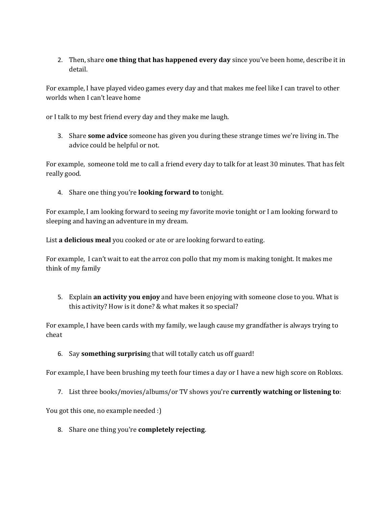2. Then, share **one thing that has happened every day** since you've been home, describe it in detail.

For example, I have played video games every day and that makes me feel like I can travel to other worlds when I can't leave home

or I talk to my best friend every day and they make me laugh.

3. Share **some advice** someone has given you during these strange times we're living in. The advice could be helpful or not.

For example, someone told me to call a friend every day to talk for at least 30 minutes. That has felt really good.

4. Share one thing you're **looking forward to** tonight.

For example, I am looking forward to seeing my favorite movie tonight or I am looking forward to sleeping and having an adventure in my dream.

List **a delicious meal** you cooked or ate or are looking forward to eating.

For example, I can't wait to eat the arroz con pollo that my mom is making tonight. It makes me think of my family

5. Explain **an activity you enjoy** and have been enjoying with someone close to you. What is this activity? How is it done? & what makes it so special?

For example, I have been cards with my family, we laugh cause my grandfather is always trying to cheat

6. Say **something surprisin**g that will totally catch us off guard!

For example, I have been brushing my teeth four times a day or I have a new high score on Robloxs.

7. List three books/movies/albums/or TV shows you're **currently watching or listening to**:

You got this one, no example needed :)

8. Share one thing you're **completely rejecting**.